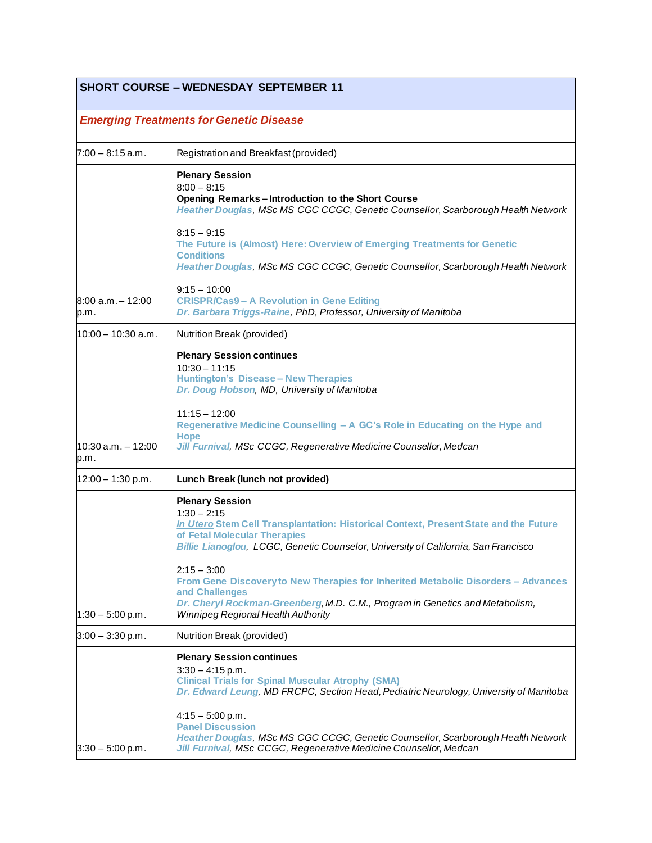# **SHORT COURSE – WEDNESDAY SEPTEMBER 11**

## *Emerging Treatments for Genetic Disease*

| $7:00 - 8:15$ a.m.            | Registration and Breakfast (provided)                                                                                                                                                                                                                                                                                                                                                                                                                                                                      |
|-------------------------------|------------------------------------------------------------------------------------------------------------------------------------------------------------------------------------------------------------------------------------------------------------------------------------------------------------------------------------------------------------------------------------------------------------------------------------------------------------------------------------------------------------|
|                               | <b>Plenary Session</b><br>$8:00 - 8:15$<br>Opening Remarks-Introduction to the Short Course<br>Heather Douglas, MSc MS CGC CCGC, Genetic Counsellor, Scarborough Health Network<br>$8:15 - 9:15$<br>The Future is (Almost) Here: Overview of Emerging Treatments for Genetic<br><b>Conditions</b><br>Heather Douglas, MSc MS CGC CCGC, Genetic Counsellor, Scarborough Health Network                                                                                                                      |
| l8:00 a.m. – 12:00<br>p.m.    | $9:15 - 10:00$<br><b>CRISPR/Cas9 - A Revolution in Gene Editing</b><br>Dr. Barbara Triggs-Raine, PhD, Professor, University of Manitoba                                                                                                                                                                                                                                                                                                                                                                    |
| l10:00 – 10:30 a.m.           | Nutrition Break (provided)                                                                                                                                                                                                                                                                                                                                                                                                                                                                                 |
| $10:30$ a.m. $-12:00$<br>p.m. | <b>Plenary Session continues</b><br>$10:30 - 11:15$<br><b>Huntington's Disease - New Therapies</b><br>Dr. Doug Hobson, MD, University of Manitoba<br>$11:15 - 12:00$<br>Regenerative Medicine Counselling - A GC's Role in Educating on the Hype and<br>Hope<br>Jill Furnival, MSc CCGC, Regenerative Medicine Counsellor, Medcan                                                                                                                                                                          |
| $12:00 - 1:30$ p.m.           | Lunch Break (lunch not provided)                                                                                                                                                                                                                                                                                                                                                                                                                                                                           |
| $1:30 - 5:00$ p.m.            | <b>Plenary Session</b><br>$1:30 - 2:15$<br>In Utero Stem Cell Transplantation: Historical Context, Present State and the Future<br>of Fetal Molecular Therapies<br>Billie Lianoglou, LCGC, Genetic Counselor, University of California, San Francisco<br>$2:15 - 3:00$<br>From Gene Discovery to New Therapies for Inherited Metabolic Disorders - Advances<br>and Challenges<br>Dr. Cheryl Rockman-Greenberg, M.D. C.M., Program in Genetics and Metabolism,<br><b>Winnipeg Regional Health Authority</b> |
| $3:00 - 3:30$ p.m.            | Nutrition Break (provided)                                                                                                                                                                                                                                                                                                                                                                                                                                                                                 |
| $3:30 - 5:00$ p.m.            | <b>Plenary Session continues</b><br>$3:30 - 4:15$ p.m.<br><b>Clinical Trials for Spinal Muscular Atrophy (SMA)</b><br>Dr. Edward Leung, MD FRCPC, Section Head, Pediatric Neurology, University of Manitoba<br>$4:15-5:00$ p.m.<br><b>Panel Discussion</b><br>Heather Douglas, MSc MS CGC CCGC, Genetic Counsellor, Scarborough Health Network<br>Jill Furnival, MSc CCGC, Regenerative Medicine Counsellor, Medcan                                                                                        |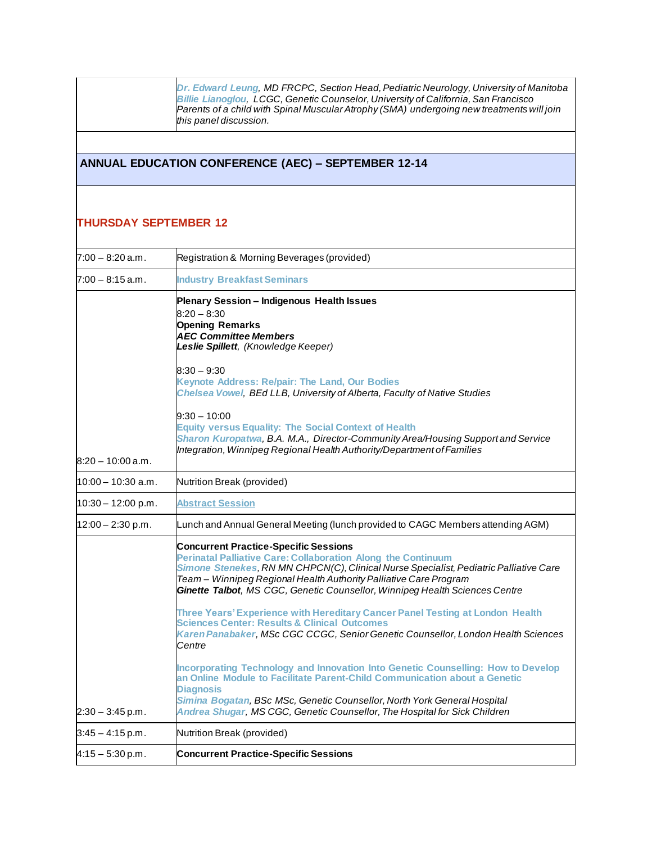*Dr. [Edward](https://www.cagcconference.ca/2019/speaker-profiles#leung) Leung, MD FRCPC, Section Head,Pediatric Neurology, University of Manitoba Billie [Lianoglou](https://www.cagcconference.ca/2019/speaker-profiles#lianoglou), LCGC, Genetic Counselor, University of California,San Francisco Parents of a child with Spinal Muscular Atrophy (SMA) undergoing new treatments will join this panel discussion.*

### **ANNUAL EDUCATION CONFERENCE (AEC) – SEPTEMBER 12-14**

#### **THURSDAY SEPTEMBER 12**

| $7:00 - 8:20$ a.m.   | Registration & Morning Beverages (provided)                                                                                                                                                                                                                                                                                                                                                                                                                                                                                                                                                                |
|----------------------|------------------------------------------------------------------------------------------------------------------------------------------------------------------------------------------------------------------------------------------------------------------------------------------------------------------------------------------------------------------------------------------------------------------------------------------------------------------------------------------------------------------------------------------------------------------------------------------------------------|
| $7:00 - 8:15$ a.m.   | <b>Industry Breakfast Seminars</b>                                                                                                                                                                                                                                                                                                                                                                                                                                                                                                                                                                         |
|                      | Plenary Session - Indigenous Health Issues<br>$8:20 - 8:30$<br><b>Opening Remarks</b><br><b>AEC Committee Members</b><br>Leslie Spillett, (Knowledge Keeper)                                                                                                                                                                                                                                                                                                                                                                                                                                               |
|                      | $8:30 - 9:30$<br>Keynote Address: Re/pair: The Land, Our Bodies<br>Chelsea Vowel, BEd LLB, University of Alberta, Faculty of Native Studies                                                                                                                                                                                                                                                                                                                                                                                                                                                                |
| $8:20 - 10:00$ a.m.  | $9:30 - 10:00$<br><b>Equity versus Equality: The Social Context of Health</b><br>Sharon Kuropatwa, B.A. M.A., Director-Community Area/Housing Support and Service<br>Integration, Winnipeg Regional Health Authority/Department of Families                                                                                                                                                                                                                                                                                                                                                                |
| $10:00 - 10:30$ a.m. | Nutrition Break (provided)                                                                                                                                                                                                                                                                                                                                                                                                                                                                                                                                                                                 |
| $10:30 - 12:00$ p.m. | <b>Abstract Session</b>                                                                                                                                                                                                                                                                                                                                                                                                                                                                                                                                                                                    |
| $12:00 - 2:30$ p.m.  | Lunch and Annual General Meeting (lunch provided to CAGC Members attending AGM)                                                                                                                                                                                                                                                                                                                                                                                                                                                                                                                            |
|                      | <b>Concurrent Practice-Specific Sessions</b><br><b>Perinatal Palliative Care: Collaboration Along the Continuum</b><br>Simone Stenekes, RN MN CHPCN(C), Clinical Nurse Specialist, Pediatric Palliative Care<br>Team - Winnipeg Regional Health Authority Palliative Care Program<br>Ginette Talbot, MS CGC, Genetic Counsellor, Winnipeg Health Sciences Centre<br>Three Years' Experience with Hereditary Cancer Panel Testing at London Health<br><b>Sciences Center: Results &amp; Clinical Outcomes</b><br>Karen Panabaker, MSc CGC CCGC, Senior Genetic Counsellor, London Health Sciences<br>Centre |
| $2:30 - 3:45$ p.m.   | Incorporating Technology and Innovation Into Genetic Counselling: How to Develop<br>an Online Module to Facilitate Parent-Child Communication about a Genetic<br><b>Diagnosis</b><br>Simina Bogatan, BSc MSc, Genetic Counsellor, North York General Hospital<br>Andrea Shugar, MS CGC, Genetic Counsellor, The Hospital for Sick Children                                                                                                                                                                                                                                                                 |
| $3:45 - 4:15$ p.m.   | Nutrition Break (provided)                                                                                                                                                                                                                                                                                                                                                                                                                                                                                                                                                                                 |
| $4:15 - 5:30$ p.m.   | <b>Concurrent Practice-Specific Sessions</b>                                                                                                                                                                                                                                                                                                                                                                                                                                                                                                                                                               |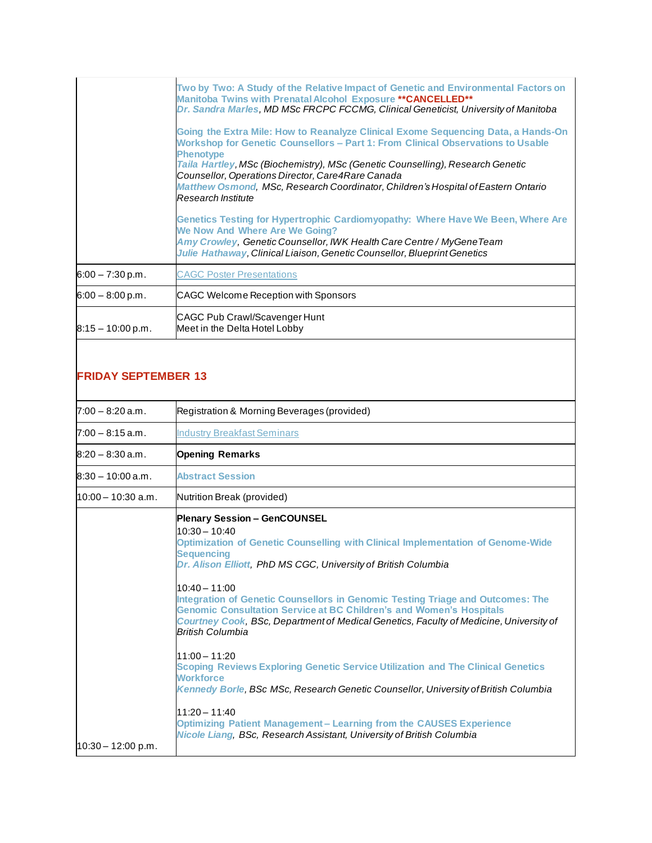|                     | Two by Two: A Study of the Relative Impact of Genetic and Environmental Factors on<br>Manitoba Twins with Prenatal Alcohol Exposure ** CANCELLED**<br>Dr. Sandra Marles, MD MSc FRCPC FCCMG, Clinical Geneticist, University of Manitoba                                                                                                                                                                                                   |
|---------------------|--------------------------------------------------------------------------------------------------------------------------------------------------------------------------------------------------------------------------------------------------------------------------------------------------------------------------------------------------------------------------------------------------------------------------------------------|
|                     | Going the Extra Mile: How to Reanalyze Clinical Exome Sequencing Data, a Hands-On<br>Workshop for Genetic Counsellors - Part 1: From Clinical Observations to Usable<br><b>Phenotype</b><br>Taila Hartley, MSc (Biochemistry), MSc (Genetic Counselling), Research Genetic<br>Counsellor, Operations Director, Care4Rare Canada<br>Matthew Osmond, MSc, Research Coordinator, Children's Hospital of Eastern Ontario<br>Research Institute |
|                     | Genetics Testing for Hypertrophic Cardiomyopathy: Where Have We Been, Where Are<br>We Now And Where Are We Going?<br>Amy Crowley, Genetic Counsellor, IWK Health Care Centre / MyGeneTeam<br>Julie Hathaway, Clinical Liaison, Genetic Counsellor, Blueprint Genetics                                                                                                                                                                      |
| $6:00 - 7:30$ p.m.  | <b>CAGC Poster Presentations</b>                                                                                                                                                                                                                                                                                                                                                                                                           |
| $6:00 - 8:00$ p.m.  | CAGC Welcome Reception with Sponsors                                                                                                                                                                                                                                                                                                                                                                                                       |
| $8:15 - 10:00$ p.m. | CAGC Pub Crawl/Scavenger Hunt<br>Meet in the Delta Hotel Lobby                                                                                                                                                                                                                                                                                                                                                                             |

### **FRIDAY SEPTEMBER 13**

| $7:00 - 8:20$ a.m.  | Registration & Morning Beverages (provided)                                                                                                                                                                                                                                                                                                                                                                                                                                                                                                                                                                                                                                                                                                                                                                                                                                                                                         |
|---------------------|-------------------------------------------------------------------------------------------------------------------------------------------------------------------------------------------------------------------------------------------------------------------------------------------------------------------------------------------------------------------------------------------------------------------------------------------------------------------------------------------------------------------------------------------------------------------------------------------------------------------------------------------------------------------------------------------------------------------------------------------------------------------------------------------------------------------------------------------------------------------------------------------------------------------------------------|
| $7:00 - 8:15$ a.m.  | <b>Industry Breakfast Seminars</b>                                                                                                                                                                                                                                                                                                                                                                                                                                                                                                                                                                                                                                                                                                                                                                                                                                                                                                  |
| $8:20 - 8:30$ a.m.  | <b>Opening Remarks</b>                                                                                                                                                                                                                                                                                                                                                                                                                                                                                                                                                                                                                                                                                                                                                                                                                                                                                                              |
| $8:30 - 10:00$ a.m. | <b>Abstract Session</b>                                                                                                                                                                                                                                                                                                                                                                                                                                                                                                                                                                                                                                                                                                                                                                                                                                                                                                             |
| 10:00 - 10:30 a.m.  | Nutrition Break (provided)                                                                                                                                                                                                                                                                                                                                                                                                                                                                                                                                                                                                                                                                                                                                                                                                                                                                                                          |
| 10:30 - 12:00 p.m.  | <b>Plenary Session - GenCOUNSEL</b><br>$10:30 - 10:40$<br>Optimization of Genetic Counselling with Clinical Implementation of Genome-Wide<br><b>Sequencing</b><br>Dr. Alison Elliott, PhD MS CGC, University of British Columbia<br>$10:40 - 11:00$<br>Integration of Genetic Counsellors in Genomic Testing Triage and Outcomes: The<br><b>Genomic Consultation Service at BC Children's and Women's Hospitals</b><br>Courtney Cook, BSc, Department of Medical Genetics, Faculty of Medicine, University of<br><b>British Columbia</b><br>$11:00 - 11:20$<br>Scoping Reviews Exploring Genetic Service Utilization and The Clinical Genetics<br><b>Workforce</b><br>Kennedy Borle, BSc MSc, Research Genetic Counsellor, University of British Columbia<br>$11:20 - 11:40$<br><b>Optimizing Patient Management - Learning from the CAUSES Experience</b><br>Nicole Liang, BSc, Research Assistant, University of British Columbia |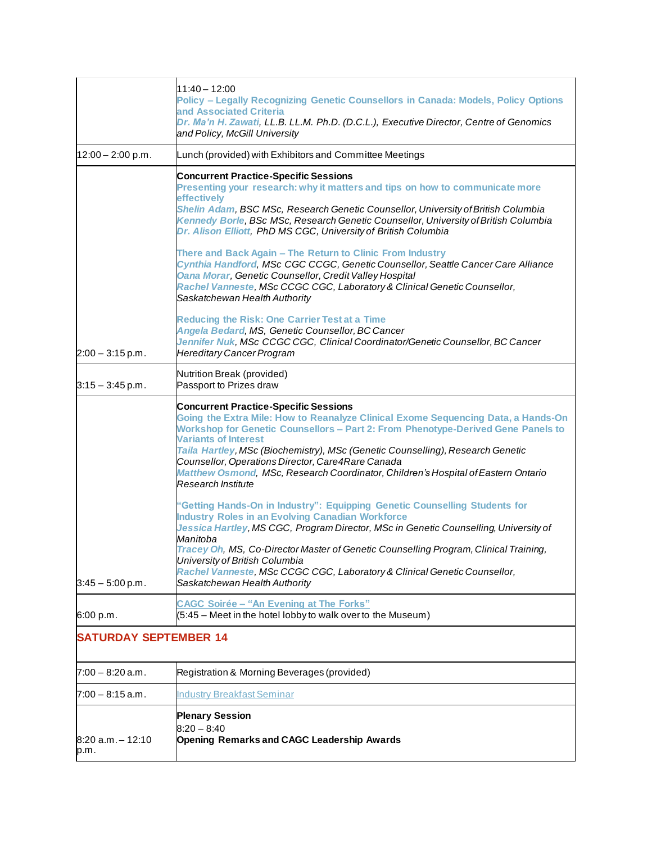|                              | $11:40 - 12:00$<br>Policy - Legally Recognizing Genetic Counsellors in Canada: Models, Policy Options<br>and Associated Criteria<br>Dr. Ma'n H. Zawati, LL.B. LL.M. Ph.D. (D.C.L.), Executive Director, Centre of Genomics<br>and Policy, McGill University                                                                                                                                                                                                                                            |
|------------------------------|--------------------------------------------------------------------------------------------------------------------------------------------------------------------------------------------------------------------------------------------------------------------------------------------------------------------------------------------------------------------------------------------------------------------------------------------------------------------------------------------------------|
| $12:00 - 2:00$ p.m.          | Lunch (provided) with Exhibitors and Committee Meetings                                                                                                                                                                                                                                                                                                                                                                                                                                                |
|                              | <b>Concurrent Practice-Specific Sessions</b><br>Presenting your research: why it matters and tips on how to communicate more<br>effectively<br>Shelin Adam, BSC MSc, Research Genetic Counsellor, University of British Columbia<br>Kennedy Borle, BSc MSc, Research Genetic Counsellor, University of British Columbia<br>Dr. Alison Elliott, PhD MS CGC, University of British Columbia                                                                                                              |
|                              | There and Back Again - The Return to Clinic From Industry<br>Cynthia Handford, MSc CGC CCGC, Genetic Counsellor, Seattle Cancer Care Alliance<br>Oana Morar, Genetic Counsellor, Credit Valley Hospital<br>Rachel Vanneste, MSc CCGC CGC, Laboratory & Clinical Genetic Counsellor,<br>Saskatchewan Health Authority                                                                                                                                                                                   |
| $2:00 - 3:15$ p.m.           | <b>Reducing the Risk: One Carrier Test at a Time</b><br>Angela Bedard, MS, Genetic Counsellor, BC Cancer<br>Jennifer Nuk, MSc CCGC CGC, Clinical Coordinator/Genetic Counsellor, BC Cancer<br><b>Hereditary Cancer Program</b>                                                                                                                                                                                                                                                                         |
| $3:15 - 3:45$ p.m.           | Nutrition Break (provided)<br>Passport to Prizes draw                                                                                                                                                                                                                                                                                                                                                                                                                                                  |
|                              | <b>Concurrent Practice-Specific Sessions</b><br>Going the Extra Mile: How to Reanalyze Clinical Exome Sequencing Data, a Hands-On<br>Workshop for Genetic Counsellors - Part 2: From Phenotype-Derived Gene Panels to<br><b>Variants of Interest</b><br>Taila Hartley, MSc (Biochemistry), MSc (Genetic Counselling), Research Genetic<br>Counsellor, Operations Director, Care4Rare Canada<br>Matthew Osmond, MSc, Research Coordinator, Children's Hospital of Eastern Ontario<br>Research Institute |
| $3:45 - 5:00$ p.m.           | "Getting Hands-On in Industry": Equipping Genetic Counselling Students for<br><b>Industry Roles in an Evolving Canadian Workforce</b><br>Jessica Hartley, MS CGC, Program Director, MSc in Genetic Counselling, University of<br>Manitoba<br>Tracey Oh, MS, Co-Director Master of Genetic Counselling Program, Clinical Training,<br>University of British Columbia<br>Rachel Vanneste, MSc CCGC CGC, Laboratory & Clinical Genetic Counsellor,<br>Saskatchewan Health Authority                       |
| 6:00 p.m.                    | <b>CAGC Soirée - "An Evening at The Forks"</b><br>(5:45 – Meet in the hotel lobby to walk over to the Museum)                                                                                                                                                                                                                                                                                                                                                                                          |
| <b>SATURDAY SEPTEMBER 14</b> |                                                                                                                                                                                                                                                                                                                                                                                                                                                                                                        |
| $7:00 - 8:20$ a.m.           | Registration & Morning Beverages (provided)                                                                                                                                                                                                                                                                                                                                                                                                                                                            |
| $7:00 - 8:15$ a.m.           | <b>Industry Breakfast Seminar</b>                                                                                                                                                                                                                                                                                                                                                                                                                                                                      |
| $8:20$ a.m. $-12:10$<br>p.m. | <b>Plenary Session</b><br>$8:20 - 8:40$<br><b>Opening Remarks and CAGC Leadership Awards</b>                                                                                                                                                                                                                                                                                                                                                                                                           |